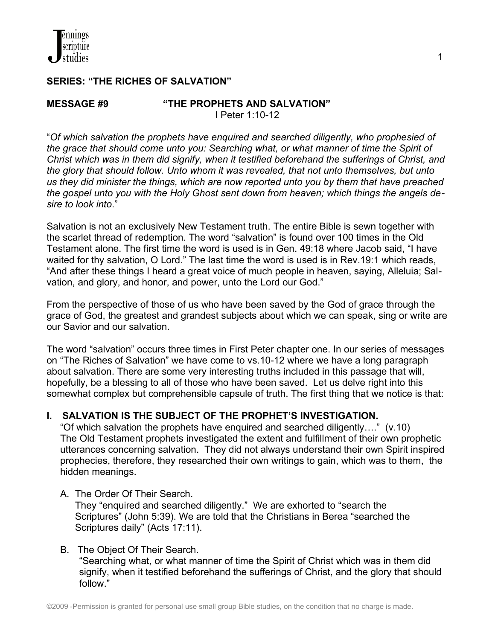## **SERIES: "THE RICHES OF SALVATION"**

**MESSAGE #9 "THE PROPHETS AND SALVATION"** I Peter 1:10-12

"*Of which salvation the prophets have enquired and searched diligently, who prophesied of the grace that should come unto you: Searching what, or what manner of time the Spirit of Christ which was in them did signify, when it testified beforehand the sufferings of Christ, and the glory that should follow. Unto whom it was revealed, that not unto themselves, but unto us they did minister the things, which are now reported unto you by them that have preached the gospel unto you with the Holy Ghost sent down from heaven; which things the angels desire to look into*."

Salvation is not an exclusively New Testament truth. The entire Bible is sewn together with the scarlet thread of redemption. The word "salvation" is found over 100 times in the Old Testament alone. The first time the word is used is in Gen. 49:18 where Jacob said, "I have waited for thy salvation, O Lord." The last time the word is used is in Rev.19:1 which reads, "And after these things I heard a great voice of much people in heaven, saying, Alleluia; Salvation, and glory, and honor, and power, unto the Lord our God."

From the perspective of those of us who have been saved by the God of grace through the grace of God, the greatest and grandest subjects about which we can speak, sing or write are our Savior and our salvation.

The word "salvation" occurs three times in First Peter chapter one. In our series of messages on "The Riches of Salvation" we have come to vs.10-12 where we have a long paragraph about salvation. There are some very interesting truths included in this passage that will, hopefully, be a blessing to all of those who have been saved. Let us delve right into this somewhat complex but comprehensible capsule of truth. The first thing that we notice is that:

# **I. SALVATION IS THE SUBJECT OF THE PROPHET'S INVESTIGATION.**

 "Of which salvation the prophets have enquired and searched diligently…." (v.10) The Old Testament prophets investigated the extent and fulfillment of their own prophetic utterances concerning salvation. They did not always understand their own Spirit inspired prophecies, therefore, they researched their own writings to gain, which was to them, the hidden meanings.

A. The Order Of Their Search.

They "enquired and searched diligently." We are exhorted to "search the Scriptures" (John 5:39). We are told that the Christians in Berea "searched the Scriptures daily" (Acts 17:11).

## B. The Object Of Their Search.

 "Searching what, or what manner of time the Spirit of Christ which was in them did signify, when it testified beforehand the sufferings of Christ, and the glory that should follow."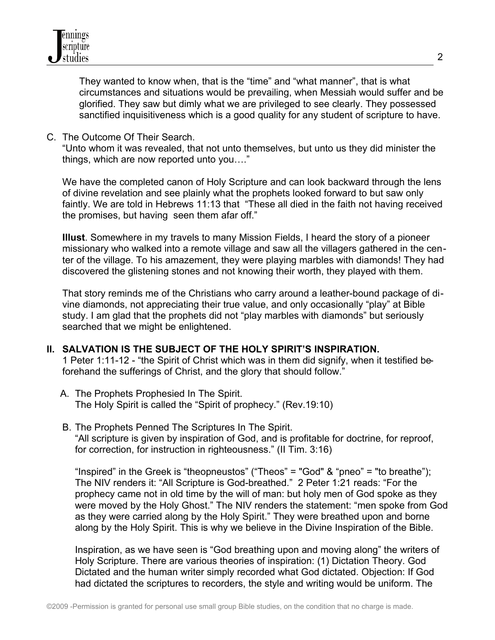

 They wanted to know when, that is the "time" and "what manner", that is what circumstances and situations would be prevailing, when Messiah would suffer and be glorified. They saw but dimly what we are privileged to see clearly. They possessed sanctified inquisitiveness which is a good quality for any student of scripture to have.

C. The Outcome Of Their Search.

"Unto whom it was revealed, that not unto themselves, but unto us they did minister the things, which are now reported unto you…."

We have the completed canon of Holy Scripture and can look backward through the lens of divine revelation and see plainly what the prophets looked forward to but saw only faintly. We are told in Hebrews 11:13 that "These all died in the faith not having received the promises, but having seen them afar off."

**Illust**. Somewhere in my travels to many Mission Fields, I heard the story of a pioneer missionary who walked into a remote village and saw all the villagers gathered in the center of the village. To his amazement, they were playing marbles with diamonds! They had discovered the glistening stones and not knowing their worth, they played with them.

That story reminds me of the Christians who carry around a leather-bound package of divine diamonds, not appreciating their true value, and only occasionally "play" at Bible study. I am glad that the prophets did not "play marbles with diamonds" but seriously searched that we might be enlightened.

### **II. SALVATION IS THE SUBJECT OF THE HOLY SPIRIT'S INSPIRATION.**

1 Peter 1:11-12 - "the Spirit of Christ which was in them did signify, when it testified beforehand the sufferings of Christ, and the glory that should follow."

- A. The Prophets Prophesied In The Spirit. The Holy Spirit is called the "Spirit of prophecy." (Rev.19:10)
- B. The Prophets Penned The Scriptures In The Spirit. "All scripture is given by inspiration of God, and is profitable for doctrine, for reproof, for correction, for instruction in righteousness." (II Tim. 3:16)

"Inspired" in the Greek is "theopneustos" ("Theos" = "God" & "pneo" = "to breathe"); The NIV renders it: "All Scripture is God-breathed." 2 Peter 1:21 reads: "For the prophecy came not in old time by the will of man: but holy men of God spoke as they were moved by the Holy Ghost." The NIV renders the statement: "men spoke from God as they were carried along by the Holy Spirit." They were breathed upon and borne along by the Holy Spirit. This is why we believe in the Divine Inspiration of the Bible.

Inspiration, as we have seen is "God breathing upon and moving along" the writers of Holy Scripture. There are various theories of inspiration: (1) Dictation Theory. God Dictated and the human writer simply recorded what God dictated. Objection: If God had dictated the scriptures to recorders, the style and writing would be uniform. The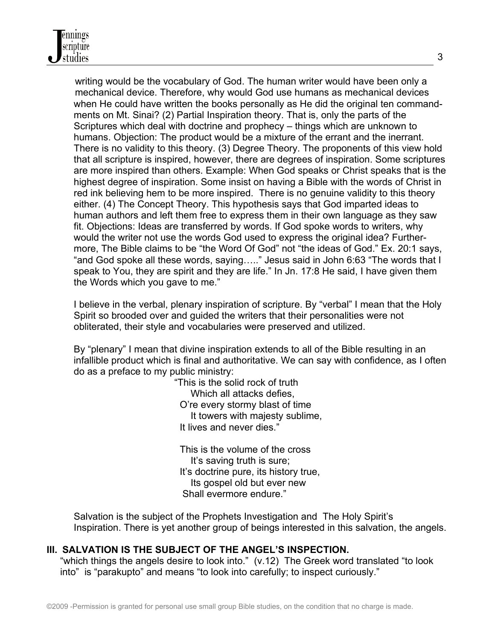writing would be the vocabulary of God. The human writer would have been only a mechanical device. Therefore, why would God use humans as mechanical devices when He could have written the books personally as He did the original ten command ments on Mt. Sinai? (2) Partial Inspiration theory. That is, only the parts of the Scriptures which deal with doctrine and prophecy – things which are unknown to humans. Objection: The product would be a mixture of the errant and the inerrant. There is no validity to this theory. (3) Degree Theory. The proponents of this view hold that all scripture is inspired, however, there are degrees of inspiration. Some scriptures are more inspired than others. Example: When God speaks or Christ speaks that is the highest degree of inspiration. Some insist on having a Bible with the words of Christ in red ink believing hem to be more inspired. There is no genuine validity to this theory either. (4) The Concept Theory. This hypothesis says that God imparted ideas to human authors and left them free to express them in their own language as they saw fit. Objections: Ideas are transferred by words. If God spoke words to writers, why would the writer not use the words God used to express the original idea? Further more, The Bible claims to be "the Word Of God" not "the ideas of God." Ex. 20:1 says, "and God spoke all these words, saying….." Jesus said in John 6:63 "The words that I speak to You, they are spirit and they are life." In Jn. 17:8 He said, I have given them the Words which you gave to me."

 I believe in the verbal, plenary inspiration of scripture. By "verbal" I mean that the Holy Spirit so brooded over and guided the writers that their personalities were not obliterated, their style and vocabularies were preserved and utilized.

 By "plenary" I mean that divine inspiration extends to all of the Bible resulting in an infallible product which is final and authoritative. We can say with confidence, as I often do as a preface to my public ministry:

> "This is the solid rock of truth Which all attacks defies, O're every stormy blast of time It towers with majesty sublime, It lives and never dies."

 This is the volume of the cross It's saving truth is sure; It's doctrine pure, its history true, Its gospel old but ever new Shall evermore endure."

 Salvation is the subject of the Prophets Investigation and The Holy Spirit's Inspiration. There is yet another group of beings interested in this salvation, the angels.

## **III. SALVATION IS THE SUBJECT OF THE ANGEL'S INSPECTION.**

 "which things the angels desire to look into." (v.12) The Greek word translated "to look into" is "parakupto" and means "to look into carefully; to inspect curiously."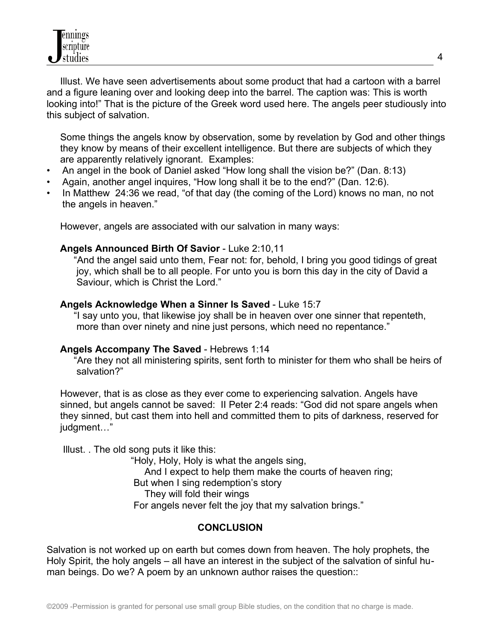Illust. We have seen advertisements about some product that had a cartoon with a barrel and a figure leaning over and looking deep into the barrel. The caption was: This is worth looking into!" That is the picture of the Greek word used here. The angels peer studiously into this subject of salvation.

 Some things the angels know by observation, some by revelation by God and other things they know by means of their excellent intelligence. But there are subjects of which they are apparently relatively ignorant. Examples:

- An angel in the book of Daniel asked "How long shall the vision be?" (Dan. 8:13)
- Again, another angel inquires, "How long shall it be to the end?" (Dan. 12:6).
- In Matthew 24:36 we read, "of that day (the coming of the Lord) knows no man, no not the angels in heaven."

However, angels are associated with our salvation in many ways:

### **Angels Announced Birth Of Savior** - Luke 2:10,11

 "And the angel said unto them, Fear not: for, behold, I bring you good tidings of great joy, which shall be to all people. For unto you is born this day in the city of David a Saviour, which is Christ the Lord."

### **Angels Acknowledge When a Sinner Is Saved** - Luke 15:7

 "I say unto you, that likewise joy shall be in heaven over one sinner that repenteth, more than over ninety and nine just persons, which need no repentance."

### **Angels Accompany The Saved** - Hebrews 1:14

 "Are they not all ministering spirits, sent forth to minister for them who shall be heirs of salvation?"

 However, that is as close as they ever come to experiencing salvation. Angels have sinned, but angels cannot be saved: II Peter 2:4 reads: "God did not spare angels when they sinned, but cast them into hell and committed them to pits of darkness, reserved for judgment…"

Illust. . The old song puts it like this:

 "Holy, Holy, Holy is what the angels sing, And I expect to help them make the courts of heaven ring; But when I sing redemption's story They will fold their wings For angels never felt the joy that my salvation brings."

## **CONCLUSION**

Salvation is not worked up on earth but comes down from heaven. The holy prophets, the Holy Spirit, the holy angels – all have an interest in the subject of the salvation of sinful human beings. Do we? A poem by an unknown author raises the question::